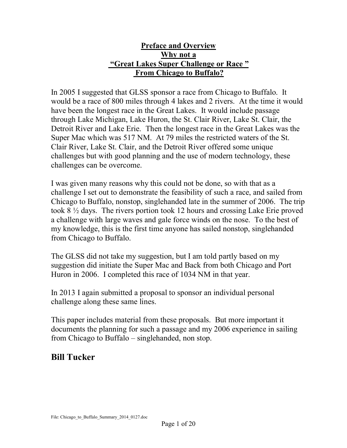## **Preface and Overview Why not a "Great Lakes Super Challenge or Race " From Chicago to Buffalo?**

In 2005 I suggested that GLSS sponsor a race from Chicago to Buffalo. It would be a race of 800 miles through 4 lakes and 2 rivers. At the time it would have been the longest race in the Great Lakes. It would include passage through Lake Michigan, Lake Huron, the St. Clair River, Lake St. Clair, the Detroit River and Lake Erie. Then the longest race in the Great Lakes was the Super Mac which was 517 NM. At 79 miles the restricted waters of the St. Clair River, Lake St. Clair, and the Detroit River offered some unique challenges but with good planning and the use of modern technology, these challenges can be overcome.

I was given many reasons why this could not be done, so with that as a challenge I set out to demonstrate the feasibility of such a race, and sailed from Chicago to Buffalo, nonstop, singlehanded late in the summer of 2006. The trip took 8 ½ days. The rivers portion took 12 hours and crossing Lake Erie proved a challenge with large waves and gale force winds on the nose. To the best of my knowledge, this is the first time anyone has sailed nonstop, singlehanded from Chicago to Buffalo.

The GLSS did not take my suggestion, but I am told partly based on my suggestion did initiate the Super Mac and Back from both Chicago and Port Huron in 2006. I completed this race of 1034 NM in that year.

In 2013 I again submitted a proposal to sponsor an individual personal challenge along these same lines.

This paper includes material from these proposals. But more important it documents the planning for such a passage and my 2006 experience in sailing from Chicago to Buffalo – singlehanded, non stop.

# **Bill Tucker**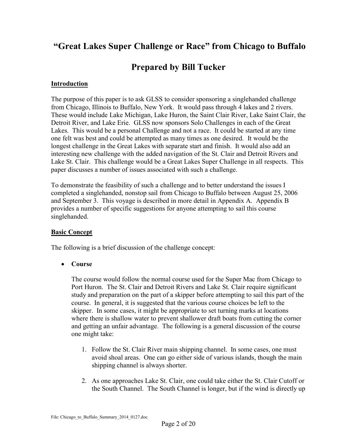# **"Great Lakes Super Challenge or Race" from Chicago to Buffalo**

## **Prepared by Bill Tucker**

#### **Introduction**

The purpose of this paper is to ask GLSS to consider sponsoring a singlehanded challenge from Chicago, Illinois to Buffalo, New York. It would pass through 4 lakes and 2 rivers. These would include Lake Michigan, Lake Huron, the Saint Clair River, Lake Saint Clair, the Detroit River, and Lake Erie. GLSS now sponsors Solo Challenges in each of the Great Lakes. This would be a personal Challenge and not a race. It could be started at any time one felt was best and could be attempted as many times as one desired. It would be the longest challenge in the Great Lakes with separate start and finish. It would also add an interesting new challenge with the added navigation of the St. Clair and Detroit Rivers and Lake St. Clair. This challenge would be a Great Lakes Super Challenge in all respects. This paper discusses a number of issues associated with such a challenge.

To demonstrate the feasibility of such a challenge and to better understand the issues I completed a singlehanded, nonstop sail from Chicago to Buffalo between August 25, 2006 and September 3. This voyage is described in more detail in Appendix A. Appendix B provides a number of specific suggestions for anyone attempting to sail this course singlehanded.

#### **Basic Concept**

The following is a brief discussion of the challenge concept:

**Course**

The course would follow the normal course used for the Super Mac from Chicago to Port Huron. The St. Clair and Detroit Rivers and Lake St. Clair require significant study and preparation on the part of a skipper before attempting to sail this part of the course. In general, it is suggested that the various course choices be left to the skipper. In some cases, it might be appropriate to set turning marks at locations where there is shallow water to prevent shallower draft boats from cutting the corner and getting an unfair advantage. The following is a general discussion of the course one might take:

- 1. Follow the St. Clair River main shipping channel. In some cases, one must avoid shoal areas. One can go either side of various islands, though the main shipping channel is always shorter.
- 2. As one approaches Lake St. Clair, one could take either the St. Clair Cutoff or the South Channel. The South Channel is longer, but if the wind is directly up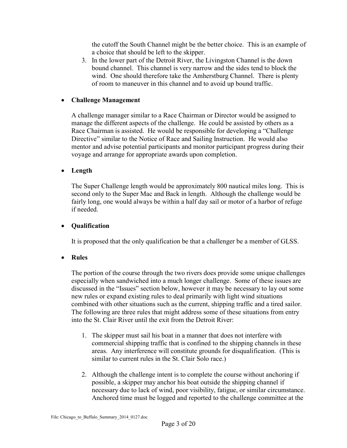the cutoff the South Channel might be the better choice. This is an example of a choice that should be left to the skipper.

3. In the lower part of the Detroit River, the Livingston Channel is the down bound channel. This channel is very narrow and the sides tend to block the wind. One should therefore take the Amherstburg Channel. There is plenty of room to maneuver in this channel and to avoid up bound traffic.

#### **Challenge Management**

A challenge manager similar to a Race Chairman or Director would be assigned to manage the different aspects of the challenge. He could be assisted by others as a Race Chairman is assisted. He would be responsible for developing a "Challenge Directive" similar to the Notice of Race and Sailing Instruction. He would also mentor and advise potential participants and monitor participant progress during their voyage and arrange for appropriate awards upon completion.

### **Length**

The Super Challenge length would be approximately 800 nautical miles long. This is second only to the Super Mac and Back in length. Although the challenge would be fairly long, one would always be within a half day sail or motor of a harbor of refuge if needed.

#### **Qualification**

It is proposed that the only qualification be that a challenger be a member of GLSS.

## **Rules**

The portion of the course through the two rivers does provide some unique challenges especially when sandwiched into a much longer challenge. Some of these issues are discussed in the "Issues" section below, however it may be necessary to lay out some new rules or expand existing rules to deal primarily with light wind situations combined with other situations such as the current, shipping traffic and a tired sailor. The following are three rules that might address some of these situations from entry into the St. Clair River until the exit from the Detroit River:

- 1. The skipper must sail his boat in a manner that does not interfere with commercial shipping traffic that is confined to the shipping channels in these areas. Any interference will constitute grounds for disqualification. (This is similar to current rules in the St. Clair Solo race.)
- 2. Although the challenge intent is to complete the course without anchoring if possible, a skipper may anchor his boat outside the shipping channel if necessary due to lack of wind, poor visibility, fatigue, or similar circumstance. Anchored time must be logged and reported to the challenge committee at the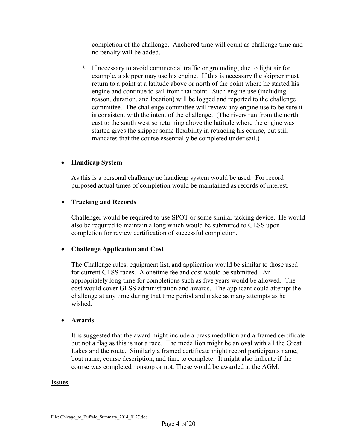completion of the challenge. Anchored time will count as challenge time and no penalty will be added.

3. If necessary to avoid commercial traffic or grounding, due to light air for example, a skipper may use his engine. If this is necessary the skipper must return to a point at a latitude above or north of the point where he started his engine and continue to sail from that point. Such engine use (including reason, duration, and location) will be logged and reported to the challenge committee. The challenge committee will review any engine use to be sure it is consistent with the intent of the challenge. (The rivers run from the north east to the south west so returning above the latitude where the engine was started gives the skipper some flexibility in retracing his course, but still mandates that the course essentially be completed under sail.)

#### **Handicap System**

As this is a personal challenge no handicap system would be used. For record purposed actual times of completion would be maintained as records of interest.

### **Tracking and Records**

Challenger would be required to use SPOT or some similar tacking device. He would also be required to maintain a long which would be submitted to GLSS upon completion for review certification of successful completion.

#### **Challenge Application and Cost**

The Challenge rules, equipment list, and application would be similar to those used for current GLSS races. A onetime fee and cost would be submitted. An appropriately long time for completions such as five years would be allowed. The cost would cover GLSS administration and awards. The applicant could attempt the challenge at any time during that time period and make as many attempts as he wished.

#### **Awards**

It is suggested that the award might include a brass medallion and a framed certificate but not a flag as this is not a race. The medallion might be an oval with all the Great Lakes and the route. Similarly a framed certificate might record participants name, boat name, course description, and time to complete. It might also indicate if the course was completed nonstop or not. These would be awarded at the AGM.

#### **Issues**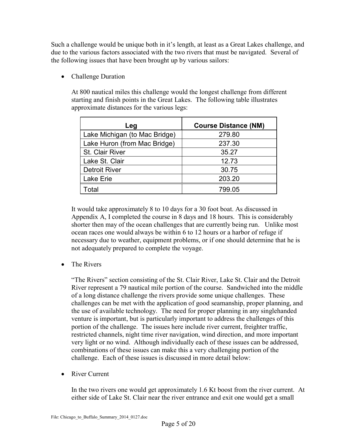Such a challenge would be unique both in it's length, at least as a Great Lakes challenge, and due to the various factors associated with the two rivers that must be navigated. Several of the following issues that have been brought up by various sailors:

• Challenge Duration

At 800 nautical miles this challenge would the longest challenge from different starting and finish points in the Great Lakes. The following table illustrates approximate distances for the various legs:

| Leg                           | <b>Course Distance (NM)</b> |
|-------------------------------|-----------------------------|
| Lake Michigan (to Mac Bridge) | 279.80                      |
| Lake Huron (from Mac Bridge)  | 237.30                      |
| St. Clair River               | 35.27                       |
| Lake St. Clair                | 12.73                       |
| <b>Detroit River</b>          | 30.75                       |
| Lake Erie                     | 203.20                      |
| <b>Total</b>                  | 799.05                      |

It would take approximately 8 to 10 days for a 30 foot boat. As discussed in Appendix A, I completed the course in 8 days and 18 hours. This is considerably shorter then may of the ocean challenges that are currently being run. Unlike most ocean races one would always be within 6 to 12 hours or a harbor of refuge if necessary due to weather, equipment problems, or if one should determine that he is not adequately prepared to complete the voyage.

• The Rivers

"The Rivers" section consisting of the St. Clair River, Lake St. Clair and the Detroit River represent a 79 nautical mile portion of the course. Sandwiched into the middle of a long distance challenge the rivers provide some unique challenges. These challenges can be met with the application of good seamanship, proper planning, and the use of available technology. The need for proper planning in any singlehanded venture is important, but is particularly important to address the challenges of this portion of the challenge. The issues here include river current, freighter traffic, restricted channels, night time river navigation, wind direction, and more important very light or no wind. Although individually each of these issues can be addressed, combinations of these issues can make this a very challenging portion of the challenge. Each of these issues is discussed in more detail below:

• River Current

In the two rivers one would get approximately 1.6 Kt boost from the river current. At either side of Lake St. Clair near the river entrance and exit one would get a small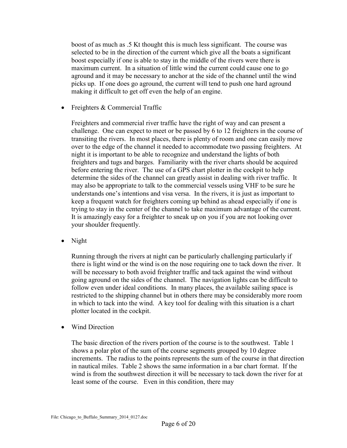boost of as much as .5 Kt thought this is much less significant. The course was selected to be in the direction of the current which give all the boats a significant boost especially if one is able to stay in the middle of the rivers were there is maximum current. In a situation of little wind the current could cause one to go aground and it may be necessary to anchor at the side of the channel until the wind picks up. If one does go aground, the current will tend to push one hard aground making it difficult to get off even the help of an engine.

• Freighters & Commercial Traffic

Freighters and commercial river traffic have the right of way and can present a challenge. One can expect to meet or be passed by 6 to 12 freighters in the course of transiting the rivers. In most places, there is plenty of room and one can easily move over to the edge of the channel it needed to accommodate two passing freighters. At night it is important to be able to recognize and understand the lights of both freighters and tugs and barges. Familiarity with the river charts should be acquired before entering the river. The use of a GPS chart plotter in the cockpit to help determine the sides of the channel can greatly assist in dealing with river traffic. It may also be appropriate to talk to the commercial vessels using VHF to be sure he understands one's intentions and visa versa. In the rivers, it is just as important to keep a frequent watch for freighters coming up behind as ahead especially if one is trying to stay in the center of the channel to take maximum advantage of the current. It is amazingly easy for a freighter to sneak up on you if you are not looking over your shoulder frequently.

• Night

Running through the rivers at night can be particularly challenging particularly if there is light wind or the wind is on the nose requiring one to tack down the river. It will be necessary to both avoid freighter traffic and tack against the wind without going aground on the sides of the channel. The navigation lights can be difficult to follow even under ideal conditions. In many places, the available sailing space is restricted to the shipping channel but in others there may be considerably more room in which to tack into the wind. A key tool for dealing with this situation is a chart plotter located in the cockpit.

Wind Direction

The basic direction of the rivers portion of the course is to the southwest. Table 1 shows a polar plot of the sum of the course segments grouped by 10 degree increments. The radius to the points represents the sum of the course in that direction in nautical miles. Table 2 shows the same information in a bar chart format. If the wind is from the southwest direction it will be necessary to tack down the river for at least some of the course. Even in this condition, there may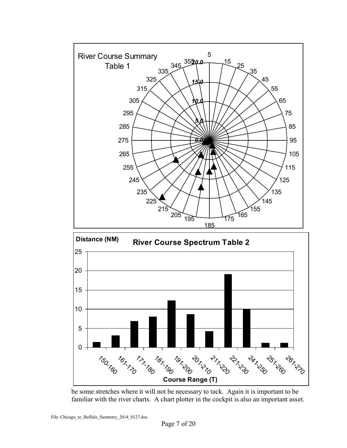



be some stretches where it will not be necessary to tack. Again it is important to be familiar with the river charts. A chart plotter in the cockpit is also an important asset.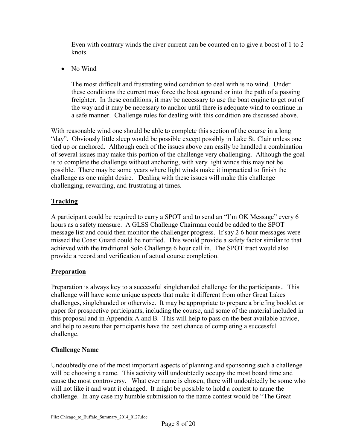Even with contrary winds the river current can be counted on to give a boost of 1 to 2 knots.

• No Wind

The most difficult and frustrating wind condition to deal with is no wind. Under these conditions the current may force the boat aground or into the path of a passing freighter. In these conditions, it may be necessary to use the boat engine to get out of the way and it may be necessary to anchor until there is adequate wind to continue in a safe manner. Challenge rules for dealing with this condition are discussed above.

With reasonable wind one should be able to complete this section of the course in a long "day". Obviously little sleep would be possible except possibly in Lake St. Clair unless one tied up or anchored. Although each of the issues above can easily be handled a combination of several issues may make this portion of the challenge very challenging. Although the goal is to complete the challenge without anchoring, with very light winds this may not be possible. There may be some years where light winds make it impractical to finish the challenge as one might desire. Dealing with these issues will make this challenge challenging, rewarding, and frustrating at times.

## **Tracking**

A participant could be required to carry a SPOT and to send an "I'm OK Message" every 6 hours as a safety measure. A GLSS Challenge Chairman could be added to the SPOT message list and could then monitor the challenger progress. If say 2 6 hour messages were missed the Coast Guard could be notified. This would provide a safety factor similar to that achieved with the traditional Solo Challenge 6 hour call in. The SPOT tract would also provide a record and verification of actual course completion.

## **Preparation**

Preparation is always key to a successful singlehanded challenge for the participants.. This challenge will have some unique aspects that make it different from other Great Lakes challenges, singlehanded or otherwise. It may be appropriate to prepare a briefing booklet or paper for prospective participants, including the course, and some of the material included in this proposal and in Appendix A and B. This will help to pass on the best available advice, and help to assure that participants have the best chance of completing a successful challenge.

## **Challenge Name**

Undoubtedly one of the most important aspects of planning and sponsoring such a challenge will be choosing a name. This activity will undoubtedly occupy the most board time and cause the most controversy. What ever name is chosen, there will undoubtedly be some who will not like it and want it changed. It might be possible to hold a contest to name the challenge. In any case my humble submission to the name contest would be "The Great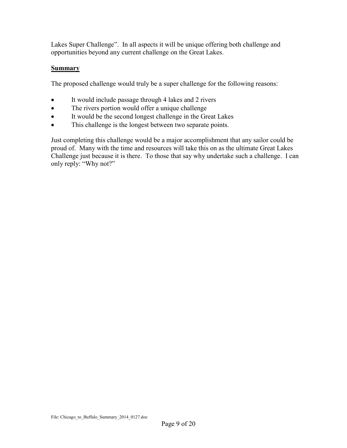Lakes Super Challenge". In all aspects it will be unique offering both challenge and opportunities beyond any current challenge on the Great Lakes.

#### **Summary**

The proposed challenge would truly be a super challenge for the following reasons:

- It would include passage through 4 lakes and 2 rivers
- The rivers portion would offer a unique challenge
- It would be the second longest challenge in the Great Lakes
- This challenge is the longest between two separate points.

Just completing this challenge would be a major accomplishment that any sailor could be proud of. Many with the time and resources will take this on as the ultimate Great Lakes Challenge just because it is there. To those that say why undertake such a challenge. I can only reply: "Why not?"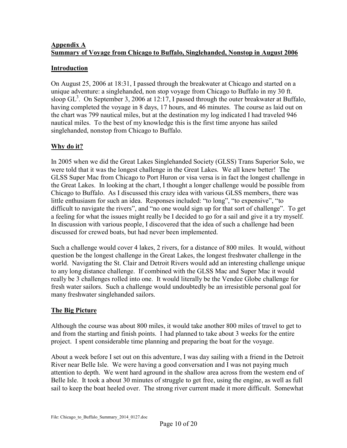#### **Appendix A Summary of Voyage from Chicago to Buffalo, Singlehanded, Nonstop in August 2006**

### **Introduction**

On August 25, 2006 at 18:31, I passed through the breakwater at Chicago and started on a unique adventure: a singlehanded, non stop voyage from Chicago to Buffalo in my 30 ft. sloop  $GL<sup>3</sup>$ . On September 3, 2006 at 12:17, I passed through the outer breakwater at Buffalo, having completed the voyage in 8 days, 17 hours, and 46 minutes. The course as laid out on the chart was 799 nautical miles, but at the destination my log indicated I had traveled 946 nautical miles. To the best of my knowledge this is the first time anyone has sailed singlehanded, nonstop from Chicago to Buffalo.

## **Why do it?**

In 2005 when we did the Great Lakes Singlehanded Society (GLSS) Trans Superior Solo, we were told that it was the longest challenge in the Great Lakes. We all knew better! The GLSS Super Mac from Chicago to Port Huron or visa versa is in fact the longest challenge in the Great Lakes. In looking at the chart, I thought a longer challenge would be possible from Chicago to Buffalo. As I discussed this crazy idea with various GLSS members, there was little enthusiasm for such an idea. Responses included: "to long", "to expensive", "to difficult to navigate the rivers", and "no one would sign up for that sort of challenge". To get a feeling for what the issues might really be I decided to go for a sail and give it a try myself. In discussion with various people, I discovered that the idea of such a challenge had been discussed for crewed boats, but had never been implemented.

Such a challenge would cover 4 lakes, 2 rivers, for a distance of 800 miles. It would, without question be the longest challenge in the Great Lakes, the longest freshwater challenge in the world. Navigating the St. Clair and Detroit Rivers would add an interesting challenge unique to any long distance challenge. If combined with the GLSS Mac and Super Mac it would really be 3 challenges rolled into one. It would literally be the Vendee Globe challenge for fresh water sailors. Such a challenge would undoubtedly be an irresistible personal goal for many freshwater singlehanded sailors.

## **The Big Picture**

Although the course was about 800 miles, it would take another 800 miles of travel to get to and from the starting and finish points. I had planned to take about 3 weeks for the entire project. I spent considerable time planning and preparing the boat for the voyage.

About a week before I set out on this adventure, I was day sailing with a friend in the Detroit River near Belle Isle. We were having a good conversation and I was not paying much attention to depth. We went hard aground in the shallow area across from the western end of Belle Isle. It took a about 30 minutes of struggle to get free, using the engine, as well as full sail to keep the boat heeled over. The strong river current made it more difficult. Somewhat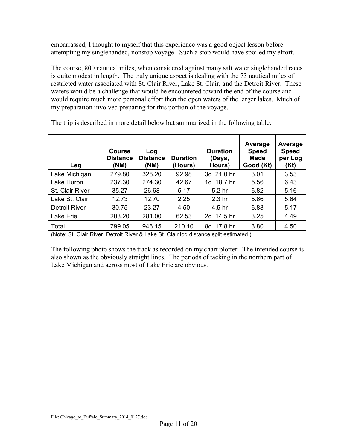embarrassed, I thought to myself that this experience was a good object lesson before attempting my singlehanded, nonstop voyage. Such a stop would have spoiled my effort.

The course, 800 nautical miles, when considered against many salt water singlehanded races is quite modest in length. The truly unique aspect is dealing with the 73 nautical miles of restricted water associated with St. Clair River, Lake St. Clair, and the Detroit River. These waters would be a challenge that would be encountered toward the end of the course and would require much more personal effort then the open waters of the larger lakes. Much of my preparation involved preparing for this portion of the voyage.

| Leg                                                                                   | <b>Course</b><br><b>Distance</b><br>(NM) | Log<br><b>Distance</b><br>(NM) | <b>Duration</b><br>(Hours) | <b>Duration</b><br>(Days,<br>Hours) | Average<br><b>Speed</b><br>Made<br>Good (Kt) | Average<br><b>Speed</b><br>per Log<br>(Kt) |  |
|---------------------------------------------------------------------------------------|------------------------------------------|--------------------------------|----------------------------|-------------------------------------|----------------------------------------------|--------------------------------------------|--|
| Lake Michigan                                                                         | 279.80                                   | 328.20                         | 92.98                      | 3d 21.0 hr                          | 3.01                                         | 3.53                                       |  |
| Lake Huron                                                                            | 237.30                                   | 274.30                         | 42.67                      | 1d 18.7 hr                          | 5.56                                         | 6.43                                       |  |
| St. Clair River                                                                       | 35.27                                    | 26.68                          | 5.17                       | 5.2 hr                              | 6.82                                         | 5.16                                       |  |
| Lake St. Clair                                                                        | 12.73                                    | 12.70                          | 2.25                       | 2.3 <sub>hr</sub>                   | 5.66                                         | 5.64                                       |  |
| <b>Detroit River</b>                                                                  | 30.75                                    | 23.27                          | 4.50                       | 4.5 hr                              | 6.83                                         | 5.17                                       |  |
| Lake Erie                                                                             | 203.20                                   | 281.00                         | 62.53                      | 2d 14.5 hr                          | 3.25                                         | 4.49                                       |  |
| Total                                                                                 | 799.05                                   | 946.15                         | 210.10                     | 8d 17.8 hr                          | 3.80                                         | 4.50                                       |  |
| (Note: St. Clair River, Detroit River & Lake St. Clair log distance split estimated.) |                                          |                                |                            |                                     |                                              |                                            |  |

The trip is described in more detail below but summarized in the following table:

(Note: St. Clair River, Detroit River & Lake St. Clair log distance split estimated.)

The following photo shows the track as recorded on my chart plotter. The intended course is also shown as the obviously straight lines. The periods of tacking in the northern part of Lake Michigan and across most of Lake Erie are obvious.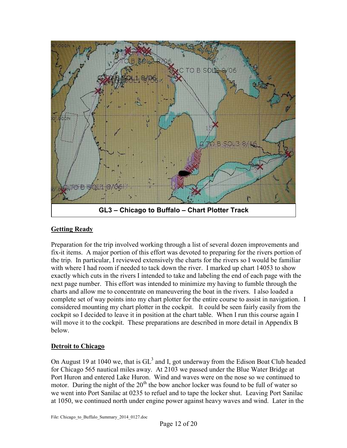

#### **Getting Ready**

Preparation for the trip involved working through a list of several dozen improvements and fix-it items. A major portion of this effort was devoted to preparing for the rivers portion of the trip. In particular, I reviewed extensively the charts for the rivers so I would be familiar with where I had room if needed to tack down the river. I marked up chart 14053 to show exactly which cuts in the rivers I intended to take and labeling the end of each page with the next page number. This effort was intended to minimize my having to fumble through the charts and allow me to concentrate on maneuvering the boat in the rivers. I also loaded a complete set of way points into my chart plotter for the entire course to assist in navigation. I considered mounting my chart plotter in the cockpit. It could be seen fairly easily from the cockpit so I decided to leave it in position at the chart table. When I run this course again I will move it to the cockpit. These preparations are described in more detail in Appendix B below.

#### **Detroit to Chicago**

On August 19 at 1040 we, that is  $GL<sup>3</sup>$  and I, got underway from the Edison Boat Club headed for Chicago 565 nautical miles away. At 2103 we passed under the Blue Water Bridge at Port Huron and entered Lake Huron. Wind and waves were on the nose so we continued to motor. During the night of the  $20<sup>th</sup>$  the bow anchor locker was found to be full of water so we went into Port Sanilac at 0235 to refuel and to tape the locker shut. Leaving Port Sanilac at 1050, we continued north under engine power against heavy waves and wind. Later in the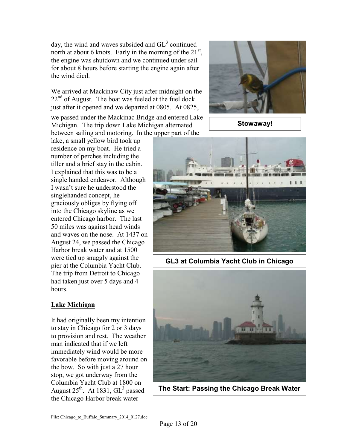day, the wind and waves subsided and  $GL<sup>3</sup>$  continued north at about 6 knots. Early in the morning of the  $21^{st}$ , the engine was shutdown and we continued under sail for about 8 hours before starting the engine again after the wind died.

We arrived at Mackinaw City just after midnight on the  $22<sup>nd</sup>$  of August. The boat was fueled at the fuel dock just after it opened and we departed at 0805. At 0825,

we passed under the Mackinac Bridge and entered Lake Michigan. The trip down Lake Michigan alternated between sailing and motoring. In the upper part of the

lake, a small yellow bird took up residence on my boat. He tried a number of perches including the tiller and a brief stay in the cabin. I explained that this was to be a single handed endeavor. Although I wasn't sure he understood the singlehanded concept, he graciously obliges by flying off into the Chicago skyline as we entered Chicago harbor. The last 50 miles was against head winds and waves on the nose. At 1437 on August 24, we passed the Chicago Harbor break water and at 1500 were tied up snuggly against the pier at the Columbia Yacht Club. The trip from Detroit to Chicago had taken just over 5 days and 4 hours.

## **Lake Michigan**

It had originally been my intention to stay in Chicago for 2 or 3 days to provision and rest. The weather man indicated that if we left immediately wind would be more favorable before moving around on the bow. So with just a 27 hour stop, we got underway from the Columbia Yacht Club at 1800 on August  $25^{\text{th}}$ . At 1831,  $GL^3$  passed the Chicago Harbor break water



**Stowaway!**



**GL3 at Columbia Yacht Club in Chicago**



**The Start: Passing the Chicago Break Water**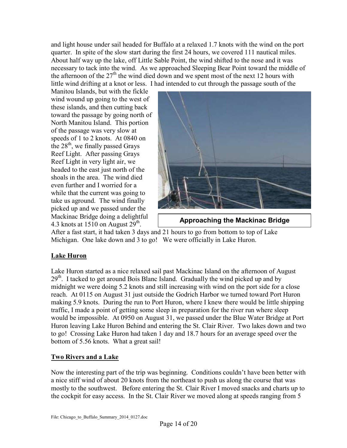and light house under sail headed for Buffalo at a relaxed 1.7 knots with the wind on the port quarter. In spite of the slow start during the first 24 hours, we covered 111 nautical miles. About half way up the lake, off Little Sable Point, the wind shifted to the nose and it was necessary to tack into the wind. As we approached Sleeping Bear Point toward the middle of the afternoon of the  $27<sup>th</sup>$  the wind died down and we spent most of the next 12 hours with little wind drifting at a knot or less. I had intended to cut through the passage south of the

Manitou Islands, but with the fickle wind wound up going to the west of these islands, and then cutting back toward the passage by going north of North Manitou Island. This portion of the passage was very slow at speeds of 1 to 2 knots. At 0840 on the  $28<sup>th</sup>$ , we finally passed Grays Reef Light. After passing Grays Reef Light in very light air, we headed to the east just north of the shoals in the area. The wind died even further and I worried for a while that the current was going to take us aground. The wind finally picked up and we passed under the Mackinac Bridge doing a delightful 4.3 knots at 1510 on August  $29^{\text{th}}$ .



**Approaching the Mackinac Bridge**

After a fast start, it had taken 3 days and 21 hours to go from bottom to top of Lake Michigan. One lake down and 3 to go! We were officially in Lake Huron.

## **Lake Huron**

Lake Huron started as a nice relaxed sail past Mackinac Island on the afternoon of August 29<sup>th</sup>. I tacked to get around Bois Blanc Island. Gradually the wind picked up and by midnight we were doing 5.2 knots and still increasing with wind on the port side for a close reach. At 0115 on August 31 just outside the Godrich Harbor we turned toward Port Huron making 5.9 knots. During the run to Port Huron, where I knew there would be little shipping traffic, I made a point of getting some sleep in preparation for the river run where sleep would be impossible. At 0950 on August 31, we passed under the Blue Water Bridge at Port Huron leaving Lake Huron Behind and entering the St. Clair River. Two lakes down and two to go! Crossing Lake Huron had taken 1 day and 18.7 hours for an average speed over the bottom of 5.56 knots. What a great sail!

## **Two Rivers and a Lake**

Now the interesting part of the trip was beginning. Conditions couldn't have been better with a nice stiff wind of about 20 knots from the northeast to push us along the course that was mostly to the southwest. Before entering the St. Clair River I moved snacks and charts up to the cockpit for easy access. In the St. Clair River we moved along at speeds ranging from 5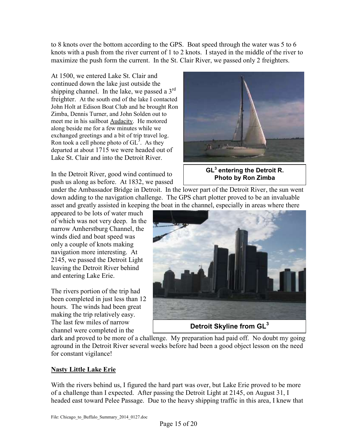to 8 knots over the bottom according to the GPS. Boat speed through the water was 5 to 6 knots with a push from the river current of 1 to 2 knots. I stayed in the middle of the river to maximize the push form the current. In the St. Clair River, we passed only 2 freighters.

At 1500, we entered Lake St. Clair and continued down the lake just outside the shipping channel. In the lake, we passed a 3<sup>rd</sup> freighter. At the south end of the lake I contacted John Holt at Edison Boat Club and he brought Ron Zimba, Dennis Turner, and John Solden out to meet me in his sailboat Audacity. He motored along beside me for a few minutes while we exchanged greetings and a bit of trip travel log. Ron took a cell phone photo of  $GL<sup>3</sup>$ . As they departed at about 1715 we were headed out of Lake St. Clair and into the Detroit River.

In the Detroit River, good wind continued to push us along as before. At 1832, we passed

under the Ambassador Bridge in Detroit. In the lower part of the Detroit River, the sun went down adding to the navigation challenge. The GPS chart plotter proved to be an invaluable asset and greatly assisted in keeping the boat in the channel, especially in areas where there

appeared to be lots of water much of which was not very deep. In the narrow Amherstburg Channel, the winds died and boat speed was only a couple of knots making navigation more interesting. At 2145, we passed the Detroit Light leaving the Detroit River behind and entering Lake Erie.

The rivers portion of the trip had been completed in just less than 12 hours. The winds had been great making the trip relatively easy. The last few miles of narrow channel were completed in the

**GL<sup>3</sup> entering the Detroit R. Photo by Ron Zimba**



**Detroit Skyline from GL<sup>3</sup>**

dark and proved to be more of a challenge. My preparation had paid off. No doubt my going aground in the Detroit River several weeks before had been a good object lesson on the need for constant vigilance!

## **Nasty Little Lake Erie**

With the rivers behind us, I figured the hard part was over, but Lake Erie proved to be more of a challenge than I expected. After passing the Detroit Light at 2145, on August 31, I headed east toward Pelee Passage. Due to the heavy shipping traffic in this area, I knew that

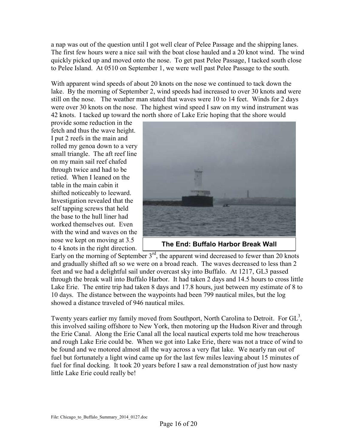a nap was out of the question until I got well clear of Pelee Passage and the shipping lanes. The first few hours were a nice sail with the boat close hauled and a 20 knot wind. The wind quickly picked up and moved onto the nose. To get past Pelee Passage, I tacked south close to Pelee Island. At 0510 on September 1, we were well past Pelee Passage to the south.

With apparent wind speeds of about 20 knots on the nose we continued to tack down the lake. By the morning of September 2, wind speeds had increased to over 30 knots and were still on the nose. The weather man stated that waves were 10 to 14 feet. Winds for 2 days were over 30 knots on the nose. The highest wind speed I saw on my wind instrument was 42 knots. I tacked up toward the north shore of Lake Erie hoping that the shore would

provide some reduction in the fetch and thus the wave height. I put 2 reefs in the main and rolled my genoa down to a very small triangle. The aft reef line on my main sail reef chafed through twice and had to be retied. When I leaned on the table in the main cabin it shifted noticeably to leeward. Investigation revealed that the self tapping screws that held the base to the hull liner had worked themselves out. Even with the wind and waves on the nose we kept on moving at 3.5 to 4 knots in the right direction.



**The End: Buffalo Harbor Break Wall**

Early on the morning of September  $3<sup>rd</sup>$ , the apparent wind decreased to fewer than 20 knots and gradually shifted aft so we were on a broad reach. The waves decreased to less than 2 feet and we had a delightful sail under overcast sky into Buffalo. At 1217, GL3 passed through the break wall into Buffalo Harbor. It had taken 2 days and 14.5 hours to cross little Lake Erie. The entire trip had taken 8 days and 17.8 hours, just between my estimate of 8 to 10 days. The distance between the waypoints had been 799 nautical miles, but the log showed a distance traveled of 946 nautical miles.

Twenty years earlier my family moved from Southport, North Carolina to Detroit. For  $GL<sup>3</sup>$ , this involved sailing offshore to New York, then motoring up the Hudson River and through the Erie Canal. Along the Erie Canal all the local nautical experts told me how treacherous and rough Lake Erie could be. When we got into Lake Erie, there was not a trace of wind to be found and we motored almost all the way across a very flat lake. We nearly ran out of fuel but fortunately a light wind came up for the last few miles leaving about 15 minutes of fuel for final docking. It took 20 years before I saw a real demonstration of just how nasty little Lake Erie could really be!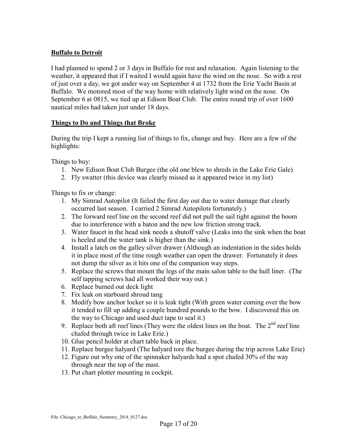### **Buffalo to Detroit**

I had planned to spend 2 or 3 days in Buffalo for rest and relaxation. Again listening to the weather, it appeared that if I waited I would again have the wind on the nose. So with a rest of just over a day, we got under way on September 4 at 1732 from the Erie Yacht Basin at Buffalo. We motored most of the way home with relatively light wind on the nose. On September 6 at 0815, we tied up at Edison Boat Club. The entire round trip of over 1600 nautical miles had taken just under 18 days.

#### **Things to Do and Things that Broke**

During the trip I kept a running list of things to fix, change and buy. Here are a few of the highlights:

Things to buy:

- 1. New Edison Boat Club Burgee (the old one blew to shreds in the Lake Erie Gale)
- 2. Fly swatter (this device was clearly missed as it appeared twice in my list)

Things to fix or change:

- 1. My Simrad Autopilot (It failed the first day out due to water damage that clearly occurred last season. I carried 2 Simrad Autopilots fortunately.)
- 2. The forward reef line on the second reef did not pull the sail tight against the boom due to interference with a baton and the new low friction strong track.
- 3. Water faucet in the head sink needs a shutoff valve (Leaks into the sink when the boat is heeled and the water tank is higher than the sink.)
- 4. Install a latch on the galley silver drawer (Although an indentation in the sides holds it in place most of the time rough weather can open the drawer. Fortunately it does not dump the silver as it hits one of the companion way steps.
- 5. Replace the screws that mount the legs of the main salon table to the hull liner. (The self tapping screws had all worked their way out.)
- 6. Replace burned out deck light
- 7. Fix leak on starboard shroud tang
- 8. Modify bow anchor locker so it is leak tight (With green water coming over the bow it tended to fill up adding a couple hundred pounds to the bow. I discovered this on the way to Chicago and used duct tape to seal it.)
- 9. Replace both aft reef lines (They were the oldest lines on the boat. The  $2<sup>nd</sup>$  reef line chafed through twice in Lake Erie.)
- 10. Glue pencil holder at chart table back in place.
- 11. Replace burgee halyard (The halyard tore the burgee during the trip across Lake Erie)
- 12. Figure out why one of the spinnaker halyards had a spot chafed 30% of the way through near the top of the mast.
- 13. Put chart plotter mounting in cockpit.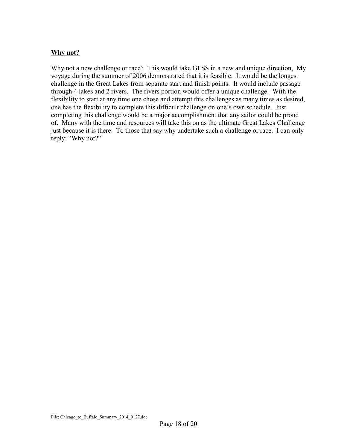#### **Why not?**

Why not a new challenge or race? This would take GLSS in a new and unique direction, My voyage during the summer of 2006 demonstrated that it is feasible. It would be the longest challenge in the Great Lakes from separate start and finish points. It would include passage through 4 lakes and 2 rivers. The rivers portion would offer a unique challenge. With the flexibility to start at any time one chose and attempt this challenges as many times as desired, one has the flexibility to complete this difficult challenge on one's own schedule. Just completing this challenge would be a major accomplishment that any sailor could be proud of. Many with the time and resources will take this on as the ultimate Great Lakes Challenge just because it is there. To those that say why undertake such a challenge or race. I can only reply: "Why not?"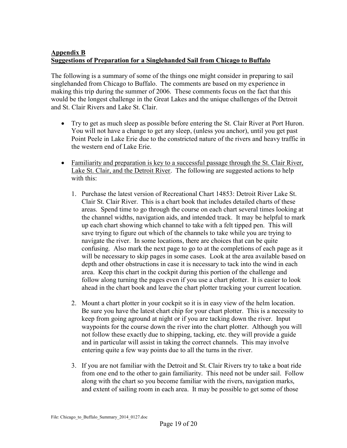#### **Appendix B Suggestions of Preparation for a Singlehanded Sail from Chicago to Buffalo**

The following is a summary of some of the things one might consider in preparing to sail singlehanded from Chicago to Buffalo. The comments are based on my experience in making this trip during the summer of 2006. These comments focus on the fact that this would be the longest challenge in the Great Lakes and the unique challenges of the Detroit and St. Clair Rivers and Lake St. Clair.

- Try to get as much sleep as possible before entering the St. Clair River at Port Huron. You will not have a change to get any sleep, (unless you anchor), until you get past Point Peele in Lake Erie due to the constricted nature of the rivers and heavy traffic in the western end of Lake Erie.
- Familiarity and preparation is key to a successful passage through the St. Clair River, Lake St. Clair, and the Detroit River. The following are suggested actions to help with this:
	- 1. Purchase the latest version of Recreational Chart 14853: Detroit River Lake St. Clair St. Clair River. This is a chart book that includes detailed charts of these areas. Spend time to go through the course on each chart several times looking at the channel widths, navigation aids, and intended track. It may be helpful to mark up each chart showing which channel to take with a felt tipped pen. This will save trying to figure out which of the channels to take while you are trying to navigate the river. In some locations, there are choices that can be quite confusing. Also mark the next page to go to at the completions of each page as it will be necessary to skip pages in some cases. Look at the area available based on depth and other obstructions in case it is necessary to tack into the wind in each area. Keep this chart in the cockpit during this portion of the challenge and follow along turning the pages even if you use a chart plotter. It is easier to look ahead in the chart book and leave the chart plotter tracking your current location.
	- 2. Mount a chart plotter in your cockpit so it is in easy view of the helm location. Be sure you have the latest chart chip for your chart plotter. This is a necessity to keep from going aground at night or if you are tacking down the river. Input waypoints for the course down the river into the chart plotter. Although you will not follow these exactly due to shipping, tacking, etc. they will provide a guide and in particular will assist in taking the correct channels. This may involve entering quite a few way points due to all the turns in the river.
	- 3. If you are not familiar with the Detroit and St. Clair Rivers try to take a boat ride from one end to the other to gain familiarity. This need not be under sail. Follow along with the chart so you become familiar with the rivers, navigation marks, and extent of sailing room in each area. It may be possible to get some of those